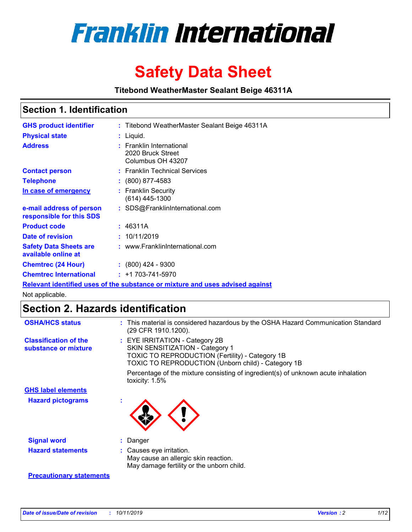

# **Safety Data Sheet**

**Titebond WeatherMaster Sealant Beige 46311A**

## **Section 1. Identification**

| <b>GHS product identifier</b>                        | : Titebond WeatherMaster Sealant Beige 46311A                                 |
|------------------------------------------------------|-------------------------------------------------------------------------------|
| <b>Physical state</b>                                | : Liquid.                                                                     |
| <b>Address</b>                                       | : Franklin International<br>2020 Bruck Street<br>Columbus OH 43207            |
| <b>Contact person</b>                                | : Franklin Technical Services                                                 |
| <b>Telephone</b>                                     | $\div$ (800) 877-4583                                                         |
| In case of emergency                                 | : Franklin Security<br>(614) 445-1300                                         |
| e-mail address of person<br>responsible for this SDS | : SDS@FranklinInternational.com                                               |
| <b>Product code</b>                                  | : 46311A                                                                      |
| Date of revision                                     | : 10/11/2019                                                                  |
| <b>Safety Data Sheets are</b><br>available online at | : www.FranklinInternational.com                                               |
| <b>Chemtrec (24 Hour)</b>                            | $\div$ (800) 424 - 9300                                                       |
| <b>Chemtrec International</b>                        | $: +1703 - 741 - 5970$                                                        |
|                                                      | Relevant identified uses of the substance or mixture and uses advised against |

Not applicable.

# **Section 2. Hazards identification**

| <b>OSHA/HCS status</b>                               | : This material is considered hazardous by the OSHA Hazard Communication Standard<br>(29 CFR 1910.1200).                                                                                 |
|------------------------------------------------------|------------------------------------------------------------------------------------------------------------------------------------------------------------------------------------------|
| <b>Classification of the</b><br>substance or mixture | : EYE IRRITATION - Category 2B<br>SKIN SENSITIZATION - Category 1<br><b>TOXIC TO REPRODUCTION (Fertility) - Category 1B</b><br><b>TOXIC TO REPRODUCTION (Unborn child) - Category 1B</b> |
|                                                      | Percentage of the mixture consisting of ingredient(s) of unknown acute inhalation<br>toxicity: $1.5\%$                                                                                   |
| <b>GHS label elements</b>                            |                                                                                                                                                                                          |
| <b>Hazard pictograms</b>                             |                                                                                                                                                                                          |
| <b>Signal word</b>                                   | : Danger                                                                                                                                                                                 |
| <b>Hazard statements</b>                             | : Causes eye irritation.<br>May cause an allergic skin reaction.<br>May damage fertility or the unborn child.                                                                            |
| <b>Precautionary statements</b>                      |                                                                                                                                                                                          |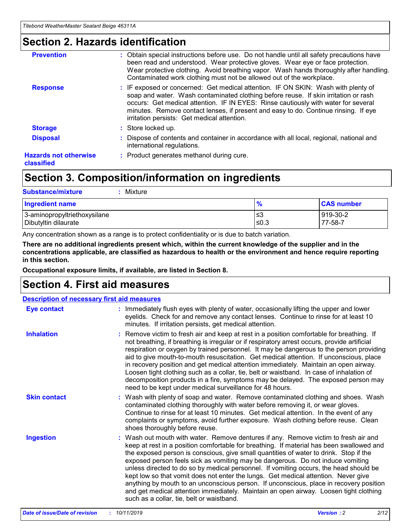# **Section 2. Hazards identification**

| <b>Prevention</b>                          | : Obtain special instructions before use. Do not handle until all safety precautions have<br>been read and understood. Wear protective gloves. Wear eye or face protection.<br>Wear protective clothing. Avoid breathing vapor. Wash hands thoroughly after handling.<br>Contaminated work clothing must not be allowed out of the workplace.                                                        |
|--------------------------------------------|------------------------------------------------------------------------------------------------------------------------------------------------------------------------------------------------------------------------------------------------------------------------------------------------------------------------------------------------------------------------------------------------------|
| <b>Response</b>                            | : IF exposed or concerned: Get medical attention. IF ON SKIN: Wash with plenty of<br>soap and water. Wash contaminated clothing before reuse. If skin irritation or rash<br>occurs: Get medical attention. IF IN EYES: Rinse cautiously with water for several<br>minutes. Remove contact lenses, if present and easy to do. Continue rinsing. If eye<br>irritation persists: Get medical attention. |
| <b>Storage</b>                             | : Store locked up.                                                                                                                                                                                                                                                                                                                                                                                   |
| <b>Disposal</b>                            | : Dispose of contents and container in accordance with all local, regional, national and<br>international regulations.                                                                                                                                                                                                                                                                               |
| <b>Hazards not otherwise</b><br>classified | : Product generates methanol during cure.                                                                                                                                                                                                                                                                                                                                                            |
|                                            |                                                                                                                                                                                                                                                                                                                                                                                                      |

# **Section 3. Composition/information on ingredients**

| <b>Substance/mixture</b><br>Mixture                  |                   |                     |
|------------------------------------------------------|-------------------|---------------------|
| <b>Ingredient name</b>                               | $\frac{9}{6}$     | <b>CAS number</b>   |
| 3-aminopropyltriethoxysilane<br>Dibutyltin dilaurate | l≤3<br>$\leq 0.3$ | 919-30-2<br>77-58-7 |

Any concentration shown as a range is to protect confidentiality or is due to batch variation.

**There are no additional ingredients present which, within the current knowledge of the supplier and in the concentrations applicable, are classified as hazardous to health or the environment and hence require reporting in this section.**

**Occupational exposure limits, if available, are listed in Section 8.**

# **Section 4. First aid measures**

| <b>Description of necessary first aid measures</b> |                                                                                                                                                                                                                                                                                                                                                                                                                                                                                                                                                                                                                                                                                                                                                                           |  |  |  |
|----------------------------------------------------|---------------------------------------------------------------------------------------------------------------------------------------------------------------------------------------------------------------------------------------------------------------------------------------------------------------------------------------------------------------------------------------------------------------------------------------------------------------------------------------------------------------------------------------------------------------------------------------------------------------------------------------------------------------------------------------------------------------------------------------------------------------------------|--|--|--|
| <b>Eye contact</b>                                 | : Immediately flush eyes with plenty of water, occasionally lifting the upper and lower<br>eyelids. Check for and remove any contact lenses. Continue to rinse for at least 10<br>minutes. If irritation persists, get medical attention.                                                                                                                                                                                                                                                                                                                                                                                                                                                                                                                                 |  |  |  |
| <b>Inhalation</b>                                  | : Remove victim to fresh air and keep at rest in a position comfortable for breathing. If<br>not breathing, if breathing is irregular or if respiratory arrest occurs, provide artificial<br>respiration or oxygen by trained personnel. It may be dangerous to the person providing<br>aid to give mouth-to-mouth resuscitation. Get medical attention. If unconscious, place<br>in recovery position and get medical attention immediately. Maintain an open airway.<br>Loosen tight clothing such as a collar, tie, belt or waistband. In case of inhalation of<br>decomposition products in a fire, symptoms may be delayed. The exposed person may<br>need to be kept under medical surveillance for 48 hours.                                                       |  |  |  |
| <b>Skin contact</b>                                | : Wash with plenty of soap and water. Remove contaminated clothing and shoes. Wash<br>contaminated clothing thoroughly with water before removing it, or wear gloves.<br>Continue to rinse for at least 10 minutes. Get medical attention. In the event of any<br>complaints or symptoms, avoid further exposure. Wash clothing before reuse. Clean<br>shoes thoroughly before reuse.                                                                                                                                                                                                                                                                                                                                                                                     |  |  |  |
| <b>Ingestion</b>                                   | : Wash out mouth with water. Remove dentures if any. Remove victim to fresh air and<br>keep at rest in a position comfortable for breathing. If material has been swallowed and<br>the exposed person is conscious, give small quantities of water to drink. Stop if the<br>exposed person feels sick as vomiting may be dangerous. Do not induce vomiting<br>unless directed to do so by medical personnel. If vomiting occurs, the head should be<br>kept low so that vomit does not enter the lungs. Get medical attention. Never give<br>anything by mouth to an unconscious person. If unconscious, place in recovery position<br>and get medical attention immediately. Maintain an open airway. Loosen tight clothing<br>such as a collar, tie, belt or waistband. |  |  |  |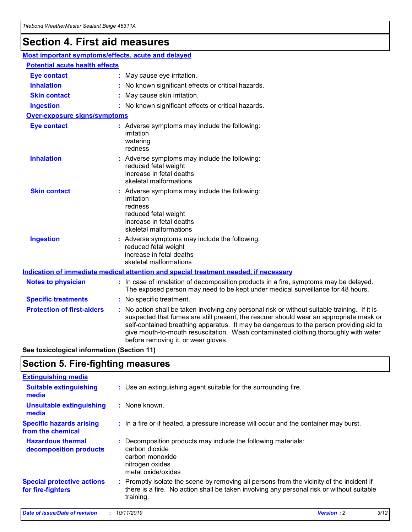# **Section 4. First aid measures**

| Most important symptoms/effects, acute and delayed |                                       |                                                                                                                                                                                                                                                                                                                                                                                                                 |  |  |  |
|----------------------------------------------------|---------------------------------------|-----------------------------------------------------------------------------------------------------------------------------------------------------------------------------------------------------------------------------------------------------------------------------------------------------------------------------------------------------------------------------------------------------------------|--|--|--|
|                                                    | <b>Potential acute health effects</b> |                                                                                                                                                                                                                                                                                                                                                                                                                 |  |  |  |
| <b>Eye contact</b>                                 |                                       | : May cause eye irritation.                                                                                                                                                                                                                                                                                                                                                                                     |  |  |  |
| <b>Inhalation</b>                                  |                                       | : No known significant effects or critical hazards.                                                                                                                                                                                                                                                                                                                                                             |  |  |  |
| <b>Skin contact</b>                                |                                       | : May cause skin irritation.                                                                                                                                                                                                                                                                                                                                                                                    |  |  |  |
| <b>Ingestion</b>                                   |                                       | : No known significant effects or critical hazards.                                                                                                                                                                                                                                                                                                                                                             |  |  |  |
| Over-exposure signs/symptoms                       |                                       |                                                                                                                                                                                                                                                                                                                                                                                                                 |  |  |  |
| <b>Eye contact</b>                                 |                                       | : Adverse symptoms may include the following:<br>irritation<br>watering<br>redness                                                                                                                                                                                                                                                                                                                              |  |  |  |
| <b>Inhalation</b>                                  |                                       | : Adverse symptoms may include the following:<br>reduced fetal weight<br>increase in fetal deaths<br>skeletal malformations                                                                                                                                                                                                                                                                                     |  |  |  |
| <b>Skin contact</b>                                |                                       | : Adverse symptoms may include the following:<br>irritation<br>redness<br>reduced fetal weight<br>increase in fetal deaths<br>skeletal malformations                                                                                                                                                                                                                                                            |  |  |  |
| <b>Ingestion</b>                                   |                                       | : Adverse symptoms may include the following:<br>reduced fetal weight<br>increase in fetal deaths<br>skeletal malformations                                                                                                                                                                                                                                                                                     |  |  |  |
|                                                    |                                       | <b>Indication of immediate medical attention and special treatment needed, if necessary</b>                                                                                                                                                                                                                                                                                                                     |  |  |  |
| <b>Notes to physician</b>                          |                                       | : In case of inhalation of decomposition products in a fire, symptoms may be delayed.<br>The exposed person may need to be kept under medical surveillance for 48 hours.                                                                                                                                                                                                                                        |  |  |  |
| <b>Specific treatments</b>                         |                                       | : No specific treatment.                                                                                                                                                                                                                                                                                                                                                                                        |  |  |  |
| <b>Protection of first-aiders</b>                  |                                       | : No action shall be taken involving any personal risk or without suitable training. If it is<br>suspected that fumes are still present, the rescuer should wear an appropriate mask or<br>self-contained breathing apparatus. It may be dangerous to the person providing aid to<br>give mouth-to-mouth resuscitation. Wash contaminated clothing thoroughly with water<br>before removing it, or wear gloves. |  |  |  |

**See toxicological information (Section 11)**

# **Section 5. Fire-fighting measures**

| <b>Extinguishing media</b>                             |                                                                                                                                                                                                     |
|--------------------------------------------------------|-----------------------------------------------------------------------------------------------------------------------------------------------------------------------------------------------------|
| <b>Suitable extinguishing</b><br>media                 | : Use an extinguishing agent suitable for the surrounding fire.                                                                                                                                     |
| <b>Unsuitable extinguishing</b><br>media               | : None known.                                                                                                                                                                                       |
| <b>Specific hazards arising</b><br>from the chemical   | : In a fire or if heated, a pressure increase will occur and the container may burst.                                                                                                               |
| <b>Hazardous thermal</b><br>decomposition products     | : Decomposition products may include the following materials:<br>carbon dioxide<br>carbon monoxide<br>nitrogen oxides<br>metal oxide/oxides                                                         |
| <b>Special protective actions</b><br>for fire-fighters | : Promptly isolate the scene by removing all persons from the vicinity of the incident if<br>there is a fire. No action shall be taken involving any personal risk or without suitable<br>training. |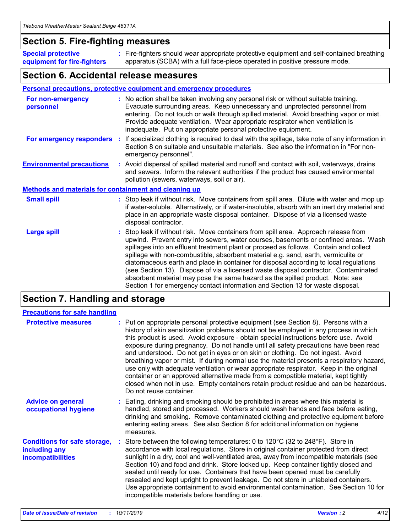## **Section 5. Fire-fighting measures**

**Special protective equipment for fire-fighters** Fire-fighters should wear appropriate protective equipment and self-contained breathing **:** apparatus (SCBA) with a full face-piece operated in positive pressure mode.

## **Section 6. Accidental release measures**

#### **Personal precautions, protective equipment and emergency procedures**

| For non-emergency<br>personnel                               | : No action shall be taken involving any personal risk or without suitable training.<br>Evacuate surrounding areas. Keep unnecessary and unprotected personnel from<br>entering. Do not touch or walk through spilled material. Avoid breathing vapor or mist.<br>Provide adequate ventilation. Wear appropriate respirator when ventilation is<br>inadequate. Put on appropriate personal protective equipment.                                                                                                                                                                                                                                                                                             |
|--------------------------------------------------------------|--------------------------------------------------------------------------------------------------------------------------------------------------------------------------------------------------------------------------------------------------------------------------------------------------------------------------------------------------------------------------------------------------------------------------------------------------------------------------------------------------------------------------------------------------------------------------------------------------------------------------------------------------------------------------------------------------------------|
|                                                              | For emergency responders : If specialized clothing is required to deal with the spillage, take note of any information in<br>Section 8 on suitable and unsuitable materials. See also the information in "For non-<br>emergency personnel".                                                                                                                                                                                                                                                                                                                                                                                                                                                                  |
| <b>Environmental precautions</b>                             | : Avoid dispersal of spilled material and runoff and contact with soil, waterways, drains<br>and sewers. Inform the relevant authorities if the product has caused environmental<br>pollution (sewers, waterways, soil or air).                                                                                                                                                                                                                                                                                                                                                                                                                                                                              |
| <b>Methods and materials for containment and cleaning up</b> |                                                                                                                                                                                                                                                                                                                                                                                                                                                                                                                                                                                                                                                                                                              |
| <b>Small spill</b>                                           | : Stop leak if without risk. Move containers from spill area. Dilute with water and mop up<br>if water-soluble. Alternatively, or if water-insoluble, absorb with an inert dry material and<br>place in an appropriate waste disposal container. Dispose of via a licensed waste<br>disposal contractor.                                                                                                                                                                                                                                                                                                                                                                                                     |
| <b>Large spill</b>                                           | : Stop leak if without risk. Move containers from spill area. Approach release from<br>upwind. Prevent entry into sewers, water courses, basements or confined areas. Wash<br>spillages into an effluent treatment plant or proceed as follows. Contain and collect<br>spillage with non-combustible, absorbent material e.g. sand, earth, vermiculite or<br>diatomaceous earth and place in container for disposal according to local regulations<br>(see Section 13). Dispose of via a licensed waste disposal contractor. Contaminated<br>absorbent material may pose the same hazard as the spilled product. Note: see<br>Section 1 for emergency contact information and Section 13 for waste disposal. |

# **Section 7. Handling and storage**

| <b>Precautions for safe handling</b>                                             |                                                                                                                                                                                                                                                                                                                                                                                                                                                                                                                                                                                                                                                                                                                                                                                                                                                  |
|----------------------------------------------------------------------------------|--------------------------------------------------------------------------------------------------------------------------------------------------------------------------------------------------------------------------------------------------------------------------------------------------------------------------------------------------------------------------------------------------------------------------------------------------------------------------------------------------------------------------------------------------------------------------------------------------------------------------------------------------------------------------------------------------------------------------------------------------------------------------------------------------------------------------------------------------|
| <b>Protective measures</b>                                                       | : Put on appropriate personal protective equipment (see Section 8). Persons with a<br>history of skin sensitization problems should not be employed in any process in which<br>this product is used. Avoid exposure - obtain special instructions before use. Avoid<br>exposure during pregnancy. Do not handle until all safety precautions have been read<br>and understood. Do not get in eyes or on skin or clothing. Do not ingest. Avoid<br>breathing vapor or mist. If during normal use the material presents a respiratory hazard,<br>use only with adequate ventilation or wear appropriate respirator. Keep in the original<br>container or an approved alternative made from a compatible material, kept tightly<br>closed when not in use. Empty containers retain product residue and can be hazardous.<br>Do not reuse container. |
| <b>Advice on general</b><br>occupational hygiene                                 | : Eating, drinking and smoking should be prohibited in areas where this material is<br>handled, stored and processed. Workers should wash hands and face before eating,<br>drinking and smoking. Remove contaminated clothing and protective equipment before<br>entering eating areas. See also Section 8 for additional information on hygiene<br>measures.                                                                                                                                                                                                                                                                                                                                                                                                                                                                                    |
| <b>Conditions for safe storage,</b><br>including any<br><b>incompatibilities</b> | : Store between the following temperatures: 0 to 120 $\degree$ C (32 to 248 $\degree$ F). Store in<br>accordance with local regulations. Store in original container protected from direct<br>sunlight in a dry, cool and well-ventilated area, away from incompatible materials (see<br>Section 10) and food and drink. Store locked up. Keep container tightly closed and<br>sealed until ready for use. Containers that have been opened must be carefully<br>resealed and kept upright to prevent leakage. Do not store in unlabeled containers.<br>Use appropriate containment to avoid environmental contamination. See Section 10 for<br>incompatible materials before handling or use.                                                                                                                                                   |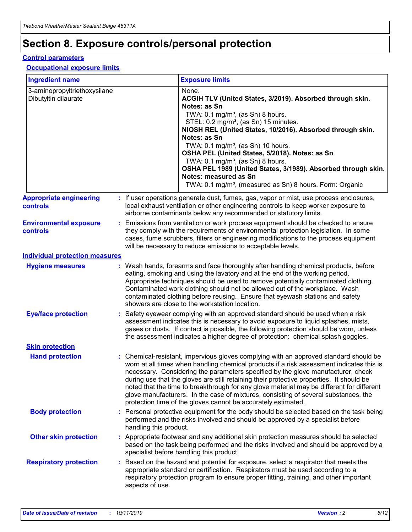# **Section 8. Exposure controls/personal protection**

#### **Control parameters**

#### **Occupational exposure limits**

| <b>Ingredient name</b>                               |    |                        | <b>Exposure limits</b>                                                                                                                                                                                                                                                                                                                                                                                                                                                                                                                                                                                                 |
|------------------------------------------------------|----|------------------------|------------------------------------------------------------------------------------------------------------------------------------------------------------------------------------------------------------------------------------------------------------------------------------------------------------------------------------------------------------------------------------------------------------------------------------------------------------------------------------------------------------------------------------------------------------------------------------------------------------------------|
| 3-aminopropyltriethoxysilane<br>Dibutyltin dilaurate |    |                        | None.<br>ACGIH TLV (United States, 3/2019). Absorbed through skin.<br>Notes: as Sn<br>TWA: 0.1 mg/m <sup>3</sup> , (as Sn) 8 hours.<br>STEL: 0.2 mg/m <sup>3</sup> , (as Sn) 15 minutes.<br>NIOSH REL (United States, 10/2016). Absorbed through skin.<br>Notes: as Sn<br>TWA: 0.1 mg/m <sup>3</sup> , (as Sn) 10 hours.<br>OSHA PEL (United States, 5/2018). Notes: as Sn<br>TWA: $0.1 \text{ mg/m}^3$ , (as Sn) 8 hours.<br>OSHA PEL 1989 (United States, 3/1989). Absorbed through skin.<br>Notes: measured as Sn<br>TWA: 0.1 mg/m <sup>3</sup> , (measured as Sn) 8 hours. Form: Organic                           |
| <b>Appropriate engineering</b><br>controls           |    |                        | : If user operations generate dust, fumes, gas, vapor or mist, use process enclosures,<br>local exhaust ventilation or other engineering controls to keep worker exposure to<br>airborne contaminants below any recommended or statutory limits.                                                                                                                                                                                                                                                                                                                                                                       |
| <b>Environmental exposure</b><br><b>controls</b>     |    |                        | Emissions from ventilation or work process equipment should be checked to ensure<br>they comply with the requirements of environmental protection legislation. In some<br>cases, fume scrubbers, filters or engineering modifications to the process equipment<br>will be necessary to reduce emissions to acceptable levels.                                                                                                                                                                                                                                                                                          |
| <b>Individual protection measures</b>                |    |                        |                                                                                                                                                                                                                                                                                                                                                                                                                                                                                                                                                                                                                        |
| <b>Hygiene measures</b>                              |    |                        | : Wash hands, forearms and face thoroughly after handling chemical products, before<br>eating, smoking and using the lavatory and at the end of the working period.<br>Appropriate techniques should be used to remove potentially contaminated clothing.<br>Contaminated work clothing should not be allowed out of the workplace. Wash<br>contaminated clothing before reusing. Ensure that eyewash stations and safety<br>showers are close to the workstation location.                                                                                                                                            |
| <b>Eye/face protection</b>                           |    |                        | : Safety eyewear complying with an approved standard should be used when a risk<br>assessment indicates this is necessary to avoid exposure to liquid splashes, mists,<br>gases or dusts. If contact is possible, the following protection should be worn, unless<br>the assessment indicates a higher degree of protection: chemical splash goggles.                                                                                                                                                                                                                                                                  |
| <b>Skin protection</b>                               |    |                        |                                                                                                                                                                                                                                                                                                                                                                                                                                                                                                                                                                                                                        |
| <b>Hand protection</b>                               |    |                        | : Chemical-resistant, impervious gloves complying with an approved standard should be<br>worn at all times when handling chemical products if a risk assessment indicates this is<br>necessary. Considering the parameters specified by the glove manufacturer, check<br>during use that the gloves are still retaining their protective properties. It should be<br>noted that the time to breakthrough for any glove material may be different for different<br>glove manufacturers. In the case of mixtures, consisting of several substances, the<br>protection time of the gloves cannot be accurately estimated. |
| <b>Body protection</b>                               |    | handling this product. | Personal protective equipment for the body should be selected based on the task being<br>performed and the risks involved and should be approved by a specialist before                                                                                                                                                                                                                                                                                                                                                                                                                                                |
| <b>Other skin protection</b>                         |    |                        | : Appropriate footwear and any additional skin protection measures should be selected<br>based on the task being performed and the risks involved and should be approved by a<br>specialist before handling this product.                                                                                                                                                                                                                                                                                                                                                                                              |
| <b>Respiratory protection</b>                        | ÷. | aspects of use.        | Based on the hazard and potential for exposure, select a respirator that meets the<br>appropriate standard or certification. Respirators must be used according to a<br>respiratory protection program to ensure proper fitting, training, and other important                                                                                                                                                                                                                                                                                                                                                         |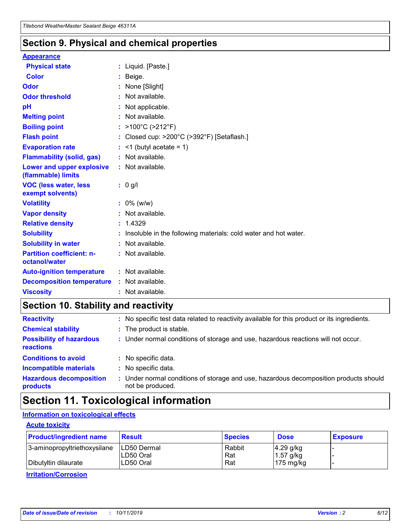## **Section 9. Physical and chemical properties**

#### **Appearance**

| <b>Physical state</b>                             | : Liquid. [Paste.]                                                |
|---------------------------------------------------|-------------------------------------------------------------------|
| Color                                             | Beige.                                                            |
| Odor                                              | None [Slight]                                                     |
| <b>Odor threshold</b>                             | : Not available.                                                  |
| рH                                                | : Not applicable.                                                 |
| <b>Melting point</b>                              | : Not available.                                                  |
| <b>Boiling point</b>                              | : $>100^{\circ}$ C ( $>212^{\circ}$ F)                            |
| <b>Flash point</b>                                | : Closed cup: $>200^{\circ}$ C ( $>392^{\circ}$ F) [Setaflash.]   |
| <b>Evaporation rate</b>                           | $:$ <1 (butyl acetate = 1)                                        |
| <b>Flammability (solid, gas)</b>                  | : Not available.                                                  |
| Lower and upper explosive<br>(flammable) limits   | : Not available.                                                  |
| <b>VOC (less water, less</b><br>exempt solvents)  | $: 0$ g/l                                                         |
| <b>Volatility</b>                                 | $: 0\%$ (w/w)                                                     |
| <b>Vapor density</b>                              | : Not available.                                                  |
| <b>Relative density</b>                           | : 1.4329                                                          |
| <b>Solubility</b>                                 | : Insoluble in the following materials: cold water and hot water. |
| <b>Solubility in water</b>                        | : Not available.                                                  |
| <b>Partition coefficient: n-</b><br>octanol/water | : Not available.                                                  |
| <b>Auto-ignition temperature</b>                  | : Not available.                                                  |
| <b>Decomposition temperature</b>                  | : Not available.                                                  |
| <b>Viscosity</b>                                  | : Not available.                                                  |

# **Section 10. Stability and reactivity**

| <b>Reactivity</b>                            |    | : No specific test data related to reactivity available for this product or its ingredients.            |
|----------------------------------------------|----|---------------------------------------------------------------------------------------------------------|
| <b>Chemical stability</b>                    |    | : The product is stable.                                                                                |
| <b>Possibility of hazardous</b><br>reactions |    | : Under normal conditions of storage and use, hazardous reactions will not occur.                       |
| <b>Conditions to avoid</b>                   |    | : No specific data.                                                                                     |
| <b>Incompatible materials</b>                | ٠. | No specific data.                                                                                       |
| <b>Hazardous decomposition</b><br>products   | ÷. | Under normal conditions of storage and use, hazardous decomposition products should<br>not be produced. |

# **Section 11. Toxicological information**

## **Information on toxicological effects**

#### **Acute toxicity**

| <b>Product/ingredient name</b> | <b>Result</b>           | <b>Species</b> | <b>Dose</b>                | <b>Exposure</b> |
|--------------------------------|-------------------------|----------------|----------------------------|-----------------|
| 3-aminopropyltriethoxysilane   | <b>ILD50 Dermal</b>     | Rabbit         | 4.29 g/kg                  |                 |
| Dibutyltin dilaurate           | ILD50 Oral<br>LD50 Oral | Rat<br>Rat     | $1.57$ g/kg<br>175 $mg/kg$ |                 |
|                                |                         |                |                            |                 |

**Irritation/Corrosion**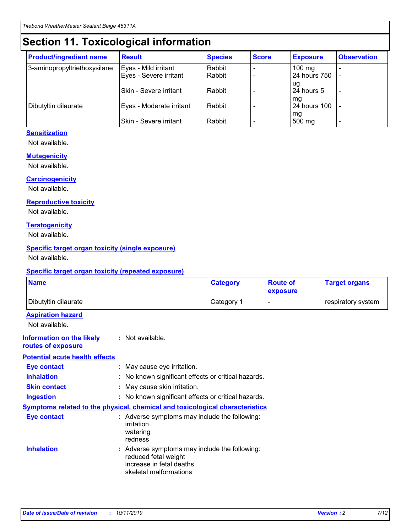# **Section 11. Toxicological information**

| <b>Product/ingredient name</b> | <b>Result</b>            | <b>Species</b> | <b>Score</b> | <b>Exposure</b>           | <b>Observation</b> |
|--------------------------------|--------------------------|----------------|--------------|---------------------------|--------------------|
| 3-aminopropyltriethoxysilane   | Eyes - Mild irritant     | Rabbit         |              | $100$ mg                  |                    |
|                                | Eyes - Severe irritant   | Rabbit         |              | 24 hours 750              |                    |
|                                |                          |                |              | ug                        |                    |
|                                | Skin - Severe irritant   | Rabbit         |              | 24 hours 5                | -                  |
| Dibutyltin dilaurate           | Eyes - Moderate irritant | Rabbit         |              | mq<br><b>24 hours 100</b> |                    |
|                                |                          |                |              | mg                        |                    |
|                                | Skin - Severe irritant   | Rabbit         |              | 500 mg                    |                    |

### **Sensitization**

Not available.

#### **Mutagenicity**

Not available.

#### **Carcinogenicity**

Not available.

#### **Reproductive toxicity**

Not available.

#### **Teratogenicity**

Not available.

#### **Specific target organ toxicity (single exposure)**

Not available.

#### **Specific target organ toxicity (repeated exposure)**

| <b>Name</b>                                                                  |                                                                                                                             | <b>Category</b> | <b>Route of</b><br>exposure  | <b>Target organs</b> |
|------------------------------------------------------------------------------|-----------------------------------------------------------------------------------------------------------------------------|-----------------|------------------------------|----------------------|
| Dibutyltin dilaurate                                                         |                                                                                                                             | Category 1      | $\qquad \qquad \blacksquare$ | respiratory system   |
| <b>Aspiration hazard</b><br>Not available.                                   |                                                                                                                             |                 |                              |                      |
| <b>Information on the likely</b><br>routes of exposure                       | : Not available.                                                                                                            |                 |                              |                      |
| <b>Potential acute health effects</b>                                        |                                                                                                                             |                 |                              |                      |
| <b>Eye contact</b>                                                           | : May cause eye irritation.                                                                                                 |                 |                              |                      |
| <b>Inhalation</b>                                                            | : No known significant effects or critical hazards.                                                                         |                 |                              |                      |
| <b>Skin contact</b>                                                          | : May cause skin irritation.                                                                                                |                 |                              |                      |
| <b>Ingestion</b>                                                             | : No known significant effects or critical hazards.                                                                         |                 |                              |                      |
| Symptoms related to the physical, chemical and toxicological characteristics |                                                                                                                             |                 |                              |                      |
| <b>Eye contact</b>                                                           | : Adverse symptoms may include the following:<br>irritation<br>watering<br>redness                                          |                 |                              |                      |
| <b>Inhalation</b>                                                            | : Adverse symptoms may include the following:<br>reduced fetal weight<br>increase in fetal deaths<br>skeletal malformations |                 |                              |                      |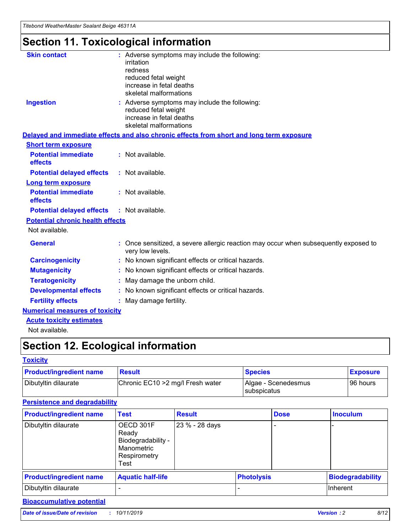# **Section 11. Toxicological information**

| <b>Skin contact</b>                     | : Adverse symptoms may include the following:                                                            |
|-----------------------------------------|----------------------------------------------------------------------------------------------------------|
|                                         | irritation                                                                                               |
|                                         | redness                                                                                                  |
|                                         | reduced fetal weight                                                                                     |
|                                         | increase in fetal deaths                                                                                 |
|                                         | skeletal malformations                                                                                   |
| <b>Ingestion</b>                        | : Adverse symptoms may include the following:                                                            |
|                                         | reduced fetal weight                                                                                     |
|                                         | increase in fetal deaths                                                                                 |
|                                         | skeletal malformations                                                                                   |
|                                         | Delayed and immediate effects and also chronic effects from short and long term exposure                 |
| <b>Short term exposure</b>              |                                                                                                          |
| <b>Potential immediate</b>              | : Not available.                                                                                         |
| effects                                 |                                                                                                          |
| <b>Potential delayed effects</b>        | : Not available.                                                                                         |
| Long term exposure                      |                                                                                                          |
| <b>Potential immediate</b>              | : Not available.                                                                                         |
| effects                                 |                                                                                                          |
| <b>Potential delayed effects</b>        | : Not available.                                                                                         |
| <b>Potential chronic health effects</b> |                                                                                                          |
| Not available.                          |                                                                                                          |
| <b>General</b>                          | : Once sensitized, a severe allergic reaction may occur when subsequently exposed to<br>very low levels. |
| <b>Carcinogenicity</b>                  | : No known significant effects or critical hazards.                                                      |
| <b>Mutagenicity</b>                     | : No known significant effects or critical hazards.                                                      |
| <b>Teratogenicity</b>                   | May damage the unborn child.                                                                             |
| <b>Developmental effects</b>            | : No known significant effects or critical hazards.                                                      |
| <b>Fertility effects</b>                | May damage fertility.                                                                                    |
| <b>Numerical measures of toxicity</b>   |                                                                                                          |
| <b>Acute toxicity estimates</b>         |                                                                                                          |
| الملمانة المستنقط فالمرابط              |                                                                                                          |

Not available.

# **Section 12. Ecological information**

#### **Toxicity**

| <b>Product/ingredient name</b> | <b>Result</b>                     | <b>Species</b>                       | <b>Exposure</b> |
|--------------------------------|-----------------------------------|--------------------------------------|-----------------|
| Dibutyltin dilaurate           | Chronic EC10 > 2 mg/l Fresh water | Algae - Scenedesmus<br>I subspicatus | l 96 hours      |

## **Persistence and degradability**

| <b>Product/ingredient name</b> | <b>Test</b>                                                                    | <b>Result</b>  |                   | <b>Dose</b> | <b>Inoculum</b>         |
|--------------------------------|--------------------------------------------------------------------------------|----------------|-------------------|-------------|-------------------------|
| Dibutyltin dilaurate           | OECD 301F<br>Ready<br>Biodegradability -<br>Manometric<br>Respirometry<br>Test | 23 % - 28 days |                   |             |                         |
| <b>Product/ingredient name</b> | <b>Aquatic half-life</b>                                                       |                | <b>Photolysis</b> |             | <b>Biodegradability</b> |
| Dibutyltin dilaurate           |                                                                                |                |                   |             | Inherent                |

## **Bioaccumulative potential**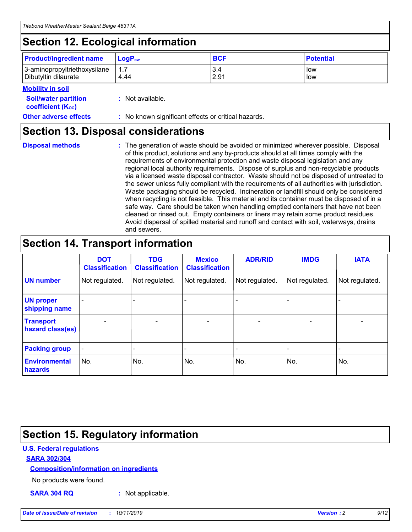# **Section 12. Ecological information**

| <b>Product/ingredient name</b> | $LoaPow$ | <b>BCF</b> | <b>Potential</b> |
|--------------------------------|----------|------------|------------------|
| 3-aminopropyltriethoxysilane   | 1.7      | 3.4        | low              |
| Dibutyltin dilaurate           | 4.44     | 2.91       | low              |

#### **Mobility in soil**

| <i></i>                                                       |                                                     |
|---------------------------------------------------------------|-----------------------------------------------------|
| <b>Soil/water partition</b><br>coefficient (K <sub>oc</sub> ) | : Not available.                                    |
| <b>Other adverse effects</b>                                  | : No known significant effects or critical hazards. |

## **Section 13. Disposal considerations**

**Disposal methods :**

The generation of waste should be avoided or minimized wherever possible. Disposal of this product, solutions and any by-products should at all times comply with the requirements of environmental protection and waste disposal legislation and any regional local authority requirements. Dispose of surplus and non-recyclable products via a licensed waste disposal contractor. Waste should not be disposed of untreated to the sewer unless fully compliant with the requirements of all authorities with jurisdiction. Waste packaging should be recycled. Incineration or landfill should only be considered when recycling is not feasible. This material and its container must be disposed of in a safe way. Care should be taken when handling emptied containers that have not been cleaned or rinsed out. Empty containers or liners may retain some product residues. Avoid dispersal of spilled material and runoff and contact with soil, waterways, drains and sewers.

# **Section 14. Transport information**

|                                      | <b>DOT</b><br><b>Classification</b> | <b>TDG</b><br><b>Classification</b> | <b>Mexico</b><br><b>Classification</b> | <b>ADR/RID</b> | <b>IMDG</b>              | <b>IATA</b>              |
|--------------------------------------|-------------------------------------|-------------------------------------|----------------------------------------|----------------|--------------------------|--------------------------|
| <b>UN number</b>                     | Not regulated.                      | Not regulated.                      | Not regulated.                         | Not regulated. | Not regulated.           | Not regulated.           |
| <b>UN proper</b><br>shipping name    | $\blacksquare$                      |                                     |                                        |                |                          |                          |
| <b>Transport</b><br>hazard class(es) | $\blacksquare$                      | $\overline{\phantom{a}}$            | $\blacksquare$                         | $\blacksquare$ | $\overline{\phantom{a}}$ | $\blacksquare$           |
| <b>Packing group</b>                 | $\overline{\phantom{a}}$            | $\overline{\phantom{0}}$            | $\overline{\phantom{a}}$               | -              | $\overline{\phantom{0}}$ | $\overline{\phantom{a}}$ |
| <b>Environmental</b><br>hazards      | No.                                 | No.                                 | No.                                    | No.            | No.                      | No.                      |

# **Section 15. Regulatory information**

### **U.S. Federal regulations**

#### **SARA 302/304**

#### **Composition/information on ingredients**

No products were found.

**SARA 304 RQ :** Not applicable.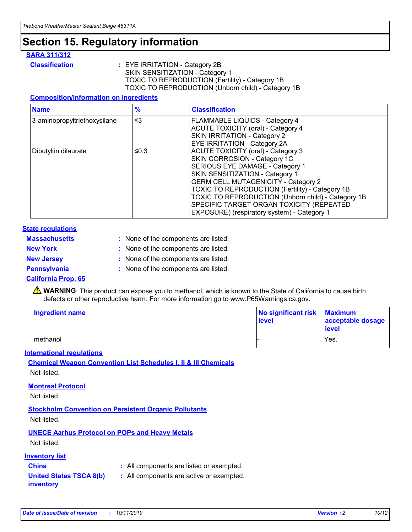# **Section 15. Regulatory information**

#### **SARA 311/312**

**Classification :** EYE IRRITATION - Category 2B SKIN SENSITIZATION - Category 1 TOXIC TO REPRODUCTION (Fertility) - Category 1B TOXIC TO REPRODUCTION (Unborn child) - Category 1B

#### **Composition/information on ingredients**

| <b>Name</b>                  | $\frac{9}{6}$ | <b>Classification</b>                                                                                            |
|------------------------------|---------------|------------------------------------------------------------------------------------------------------------------|
| 3-aminopropyltriethoxysilane | $\leq$ 3      | <b>FLAMMABLE LIQUIDS - Category 4</b><br><b>ACUTE TOXICITY (oral) - Category 4</b>                               |
|                              |               | SKIN IRRITATION - Category 2<br>EYE IRRITATION - Category 2A                                                     |
| Dibutyltin dilaurate         | ≤0.3          | ACUTE TOXICITY (oral) - Category 3<br>SKIN CORROSION - Category 1C                                               |
|                              |               | SERIOUS EYE DAMAGE - Category 1<br>SKIN SENSITIZATION - Category 1<br><b>GERM CELL MUTAGENICITY - Category 2</b> |
|                              |               | TOXIC TO REPRODUCTION (Fertility) - Category 1B<br>TOXIC TO REPRODUCTION (Unborn child) - Category 1B            |
|                              |               | SPECIFIC TARGET ORGAN TOXICITY (REPEATED<br>EXPOSURE) (respiratory system) - Category 1                          |

#### **State regulations**

| <b>Massachusetts</b> | : None of the components are listed. |
|----------------------|--------------------------------------|
| <b>New York</b>      | : None of the components are listed. |
| <b>New Jersey</b>    | : None of the components are listed. |
| <b>Pennsylvania</b>  | : None of the components are listed. |

#### **California Prop. 65**

**A** WARNING: This product can expose you to methanol, which is known to the State of California to cause birth defects or other reproductive harm. For more information go to www.P65Warnings.ca.gov.

| <b>Ingredient name</b> | No significant risk Maximum<br>level | acceptable dosage<br>level |
|------------------------|--------------------------------------|----------------------------|
| methanol               |                                      | Yes.                       |

#### **International regulations**

**Chemical Weapon Convention List Schedules I, II & III Chemicals** Not listed.

#### **Montreal Protocol**

Not listed.

#### **Stockholm Convention on Persistent Organic Pollutants**

Not listed.

## **UNECE Aarhus Protocol on POPs and Heavy Metals**

Not listed.

#### **Inventory list**

## **China :** All components are listed or exempted.

#### **United States TSCA 8(b) inventory :** All components are active or exempted.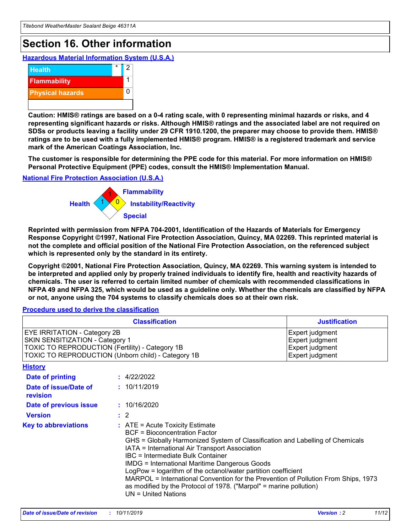# **Section 16. Other information**

**Hazardous Material Information System (U.S.A.)**



**Caution: HMIS® ratings are based on a 0-4 rating scale, with 0 representing minimal hazards or risks, and 4 representing significant hazards or risks. Although HMIS® ratings and the associated label are not required on SDSs or products leaving a facility under 29 CFR 1910.1200, the preparer may choose to provide them. HMIS® ratings are to be used with a fully implemented HMIS® program. HMIS® is a registered trademark and service mark of the American Coatings Association, Inc.**

**The customer is responsible for determining the PPE code for this material. For more information on HMIS® Personal Protective Equipment (PPE) codes, consult the HMIS® Implementation Manual.**

#### **National Fire Protection Association (U.S.A.)**



**Reprinted with permission from NFPA 704-2001, Identification of the Hazards of Materials for Emergency Response Copyright ©1997, National Fire Protection Association, Quincy, MA 02269. This reprinted material is not the complete and official position of the National Fire Protection Association, on the referenced subject which is represented only by the standard in its entirety.**

**Copyright ©2001, National Fire Protection Association, Quincy, MA 02269. This warning system is intended to be interpreted and applied only by properly trained individuals to identify fire, health and reactivity hazards of chemicals. The user is referred to certain limited number of chemicals with recommended classifications in NFPA 49 and NFPA 325, which would be used as a guideline only. Whether the chemicals are classified by NFPA or not, anyone using the 704 systems to classify chemicals does so at their own risk.**

**Procedure used to derive the classification**

| <b>Classification</b>                                                                                                                                                    |                                                                                                                                                  | <b>Justification</b>                                                                                                                                                                                                                                                                                                                                                                                                 |  |
|--------------------------------------------------------------------------------------------------------------------------------------------------------------------------|--------------------------------------------------------------------------------------------------------------------------------------------------|----------------------------------------------------------------------------------------------------------------------------------------------------------------------------------------------------------------------------------------------------------------------------------------------------------------------------------------------------------------------------------------------------------------------|--|
| EYE IRRITATION - Category 2B<br>SKIN SENSITIZATION - Category 1<br>TOXIC TO REPRODUCTION (Fertility) - Category 1B<br>TOXIC TO REPRODUCTION (Unborn child) - Category 1B |                                                                                                                                                  | Expert judgment<br>Expert judgment<br>Expert judgment<br>Expert judgment                                                                                                                                                                                                                                                                                                                                             |  |
| <b>History</b>                                                                                                                                                           |                                                                                                                                                  |                                                                                                                                                                                                                                                                                                                                                                                                                      |  |
| Date of printing                                                                                                                                                         | : 4/22/2022                                                                                                                                      |                                                                                                                                                                                                                                                                                                                                                                                                                      |  |
| Date of issue/Date of<br>revision                                                                                                                                        | : 10/11/2019                                                                                                                                     |                                                                                                                                                                                                                                                                                                                                                                                                                      |  |
| Date of previous issue                                                                                                                                                   | : 10/16/2020                                                                                                                                     |                                                                                                                                                                                                                                                                                                                                                                                                                      |  |
| <b>Version</b>                                                                                                                                                           | $\therefore$ 2                                                                                                                                   |                                                                                                                                                                                                                                                                                                                                                                                                                      |  |
| <b>Key to abbreviations</b>                                                                                                                                              | $\therefore$ ATE = Acute Toxicity Estimate<br><b>BCF</b> = Bioconcentration Factor<br>IBC = Intermediate Bulk Container<br>$UN = United Nations$ | GHS = Globally Harmonized System of Classification and Labelling of Chemicals<br>IATA = International Air Transport Association<br><b>IMDG = International Maritime Dangerous Goods</b><br>LogPow = logarithm of the octanol/water partition coefficient<br>MARPOL = International Convention for the Prevention of Pollution From Ships, 1973<br>as modified by the Protocol of 1978. ("Marpol" = marine pollution) |  |